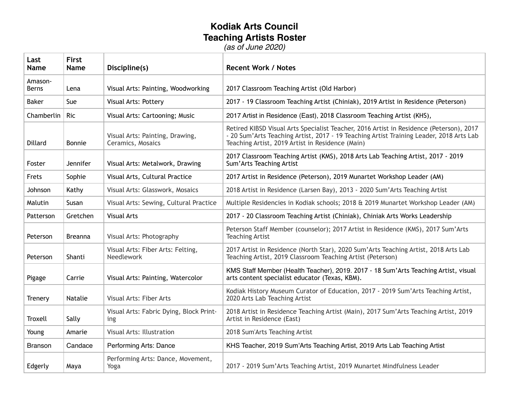## **Kodiak Arts Council Teaching Artists Roster** *(as of June 2020)*

**Last Name First Name Discipline(s) Recent Work / Notes** Amason-Berns Lena Visual Arts: Painting, Woodworking 2017 Classroom Teaching Artist (Old Harbor) Baker Sue Visual Arts: Pottery 2017 - 19 Classroom Teaching Artist (Chiniak), 2019 Artist in Residence (Peterson) Chamberlin Ric Visual Arts: Cartooning; Music 2017 Artist in Residence (East), 2018 Classroom Teaching Artist (KHS), Dillard Bonnie Visual Arts: Painting, Drawing, Ceramics, Mosaics Retired KIBSD Visual Arts Specialist Teacher, 2016 Artist in Residence (Peterson), 2017 - 20 Sum'Arts Teaching Artist, 2017 - 19 Teaching Artist Training Leader, 2018 Arts Lab Teaching Artist, 2019 Artist in Residence (Main) Foster Jennifer | Visual Arts: Metalwork, Drawing 2017 Classroom Teaching Artist (KMS), 2018 Arts Lab Teaching Artist, 2017 - 2019 Sum'Arts Teaching Artist Frets Sophie Visual Arts, Cultural Practice 2017 Artist in Residence (Peterson), 2019 Munartet Workshop Leader (AM) Johnson Kathy Visual Arts: Glasswork, Mosaics 2018 Artist in Residence (Larsen Bay), 2013 - 2020 Sum'Arts Teaching Artist Malutin Susan Visual Arts: Sewing, Cultural Practice | Multiple Residencies in Kodiak schools; 2018 & 2019 Munartet Workshop Leader (AM) Patterson Gretchen Visual Arts 2017 - 20 Classroom Teaching Artist (Chiniak), Chiniak Arts Works Leadership Peterson | Breanna | Visual Arts: Photography Peterson Staff Member (counselor); 2017 Artist in Residence (KMS), 2017 Sum'Arts Teaching Artist Peterson Shanti Visual Arts: Fiber Arts: Felting, Needlework 2017 Artist in Residence (North Star), 2020 Sum'Arts Teaching Artist, 2018 Arts Lab Teaching Artist, 2019 Classroom Teaching Artist (Peterson) Pigage | Carrie | Visual Arts: Painting, Watercolor KMS Staff Member (Health Teacher), 2019. 2017 - 18 Sum'Arts Teaching Artist, visual arts content specialist educator (Texas, KBM). Trenery | Natalie | Visual Arts: Fiber Arts Kodiak History Museum Curator of Education, 2017 - 2019 Sum'Arts Teaching Artist, 2020 Arts Lab Teaching Artist Troxell Sally Visual Arts: Fabric Dying, Block Printing 2018 Artist in Residence Teaching Artist (Main), 2017 Sum'Arts Teaching Artist, 2019 Artist in Residence (East) Young Amarie Visual Arts: Illustration 2018 Sum'Arts Teaching Artist Branson | Candace | Performing Arts: Dance | KHS Teacher, 2019 Sum'Arts Teaching Artist, 2019 Arts Lab Teaching Artist Edgerly | Maya Performing Arts: Dance, Movement, Yoga 2017 - 2019 Sum'Arts Teaching Artist, 2019 Munartet Mindfulness Leader